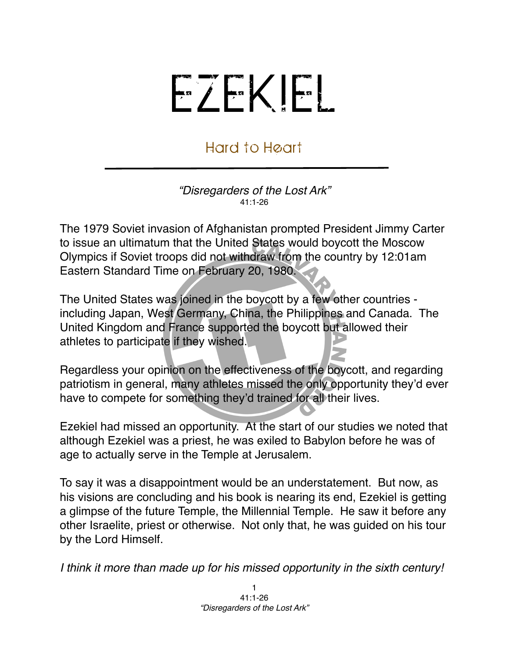## EZEKIEL

## Hard to Heart

*"Disregarders of the Lost Ark"* 41:1-26

The 1979 Soviet invasion of Afghanistan prompted President Jimmy Carter to issue an ultimatum that the United States would boycott the Moscow Olympics if Soviet troops did not withdraw from the country by 12:01am Eastern Standard Time on February 20, 1980.

The United States was joined in the boycott by a few other countries including Japan, West Germany, China, the Philippines and Canada. The United Kingdom and France supported the boycott but allowed their athletes to participate if they wished.

Regardless your opinion on the effectiveness of the boycott, and regarding patriotism in general, many athletes missed the only opportunity they'd ever have to compete for something they'd trained for all their lives.

Ezekiel had missed an opportunity. At the start of our studies we noted that although Ezekiel was a priest, he was exiled to Babylon before he was of age to actually serve in the Temple at Jerusalem.

To say it was a disappointment would be an understatement. But now, as his visions are concluding and his book is nearing its end, Ezekiel is getting a glimpse of the future Temple, the Millennial Temple. He saw it before any other Israelite, priest or otherwise. Not only that, he was guided on his tour by the Lord Himself.

*I think it more than made up for his missed opportunity in the sixth century!*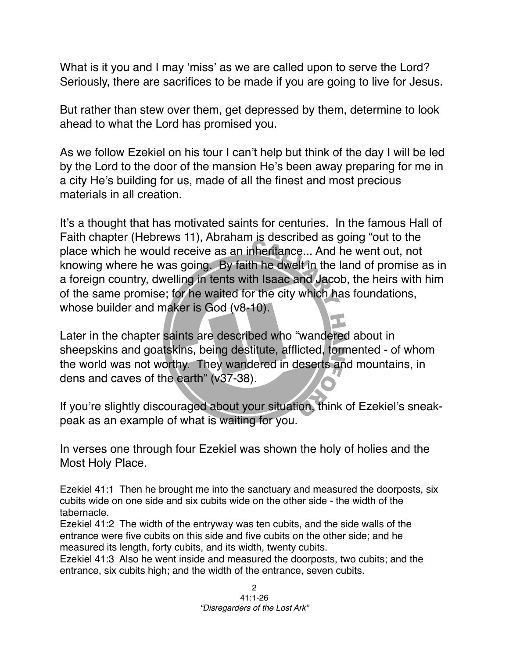What is it you and I may ʻmiss' as we are called upon to serve the Lord? Seriously, there are sacrifices to be made if you are going to live for Jesus.

But rather than stew over them, get depressed by them, determine to look ahead to what the Lord has promised you.

As we follow Ezekiel on his tour I can't help but think of the day I will be led by the Lord to the door of the mansion He's been away preparing for me in a city He's building for us, made of all the finest and most precious materials in all creation.

It's a thought that has motivated saints for centuries. In the famous Hall of Faith chapter (Hebrews 11), Abraham is described as going "out to the place which he would receive as an inheritance... And he went out, not knowing where he was going. By faith he dwelt in the land of promise as in a foreign country, dwelling in tents with Isaac and Jacob, the heirs with him of the same promise; for he waited for the city which has foundations, whose builder and maker is God (v8-10).

Later in the chapter saints are described who "wandered about in sheepskins and goatskins, being destitute, afflicted, tormented - of whom the world was not worthy. They wandered in deserts and mountains, in dens and caves of the earth" (v37-38).

If you're slightly discouraged about your situation, think of Ezekiel's sneakpeak as an example of what is waiting for you.

In verses one through four Ezekiel was shown the holy of holies and the Most Holy Place.

Ezekiel 41:1 Then he brought me into the sanctuary and measured the doorposts, six cubits wide on one side and six cubits wide on the other side - the width of the tabernacle.

Ezekiel 41:2 The width of the entryway was ten cubits, and the side walls of the entrance were five cubits on this side and five cubits on the other side; and he measured its length, forty cubits, and its width, twenty cubits.

Ezekiel 41:3 Also he went inside and measured the doorposts, two cubits; and the entrance, six cubits high; and the width of the entrance, seven cubits.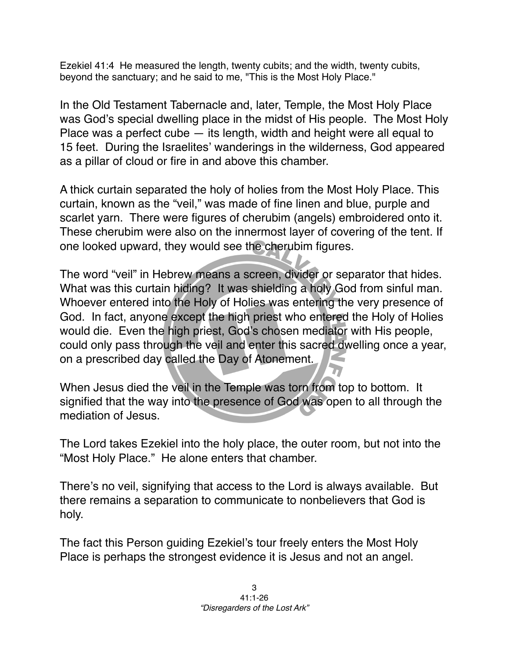Ezekiel 41:4 He measured the length, twenty cubits; and the width, twenty cubits, beyond the sanctuary; and he said to me, "This is the Most Holy Place."

In the Old Testament Tabernacle and, later, Temple, the Most Holy Place was God's special dwelling place in the midst of His people. The Most Holy Place was a perfect cube — its length, width and height were all equal to 15 feet. During the Israelites' wanderings in the wilderness, God appeared as a pillar of cloud or fire in and above this chamber.

A thick curtain separated the holy of holies from the Most Holy Place. This curtain, known as the "veil," was made of fine linen and blue, purple and scarlet yarn. There were figures of cherubim (angels) embroidered onto it. These cherubim were also on the innermost layer of covering of the tent. If one looked upward, they would see the cherubim figures.

The word "veil" in Hebrew means a screen, divider or separator that hides. What was this curtain hiding? It was shielding a holy God from sinful man. Whoever entered into the Holy of Holies was entering the very presence of God. In fact, anyone except the high priest who entered the Holy of Holies would die. Even the high priest, God's chosen mediator with His people, could only pass through the veil and enter this sacred dwelling once a year, on a prescribed day called the Day of Atonement.

When Jesus died the veil in the Temple was torn from top to bottom. It signified that the way into the presence of God was open to all through the mediation of Jesus.

The Lord takes Ezekiel into the holy place, the outer room, but not into the "Most Holy Place." He alone enters that chamber.

There's no veil, signifying that access to the Lord is always available. But there remains a separation to communicate to nonbelievers that God is holy.

The fact this Person guiding Ezekiel's tour freely enters the Most Holy Place is perhaps the strongest evidence it is Jesus and not an angel.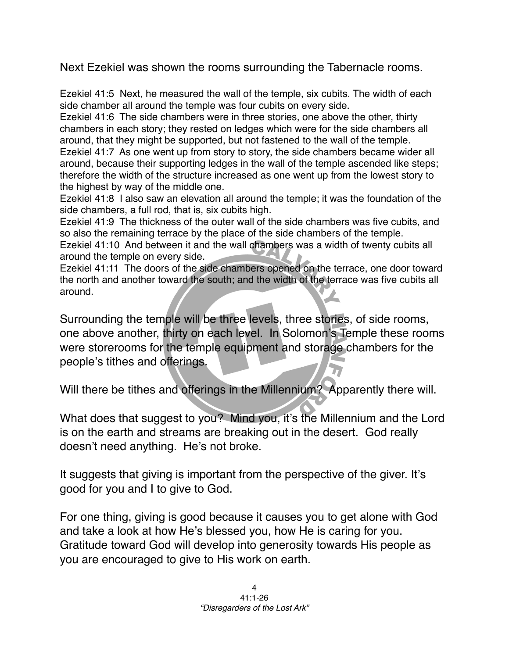Next Ezekiel was shown the rooms surrounding the Tabernacle rooms.

Ezekiel 41:5 Next, he measured the wall of the temple, six cubits. The width of each side chamber all around the temple was four cubits on every side.

Ezekiel 41:6 The side chambers were in three stories, one above the other, thirty chambers in each story; they rested on ledges which were for the side chambers all around, that they might be supported, but not fastened to the wall of the temple.

Ezekiel 41:7 As one went up from story to story, the side chambers became wider all around, because their supporting ledges in the wall of the temple ascended like steps; therefore the width of the structure increased as one went up from the lowest story to the highest by way of the middle one.

Ezekiel 41:8 I also saw an elevation all around the temple; it was the foundation of the side chambers, a full rod, that is, six cubits high.

Ezekiel 41:9 The thickness of the outer wall of the side chambers was five cubits, and so also the remaining terrace by the place of the side chambers of the temple.

Ezekiel 41:10 And between it and the wall chambers was a width of twenty cubits all around the temple on every side.

Ezekiel 41:11 The doors of the side chambers opened on the terrace, one door toward the north and another toward the south; and the width of the terrace was five cubits all around.

Surrounding the temple will be three levels, three stories, of side rooms, one above another, thirty on each level. In Solomon's Temple these rooms were storerooms for the temple equipment and storage chambers for the people's tithes and offerings.

Will there be tithes and offerings in the Millennium? Apparently there will.

What does that suggest to you? Mind you, it's the Millennium and the Lord is on the earth and streams are breaking out in the desert. God really doesn't need anything. He's not broke.

It suggests that giving is important from the perspective of the giver. It's good for you and I to give to God.

For one thing, giving is good because it causes you to get alone with God and take a look at how He's blessed you, how He is caring for you. Gratitude toward God will develop into generosity towards His people as you are encouraged to give to His work on earth.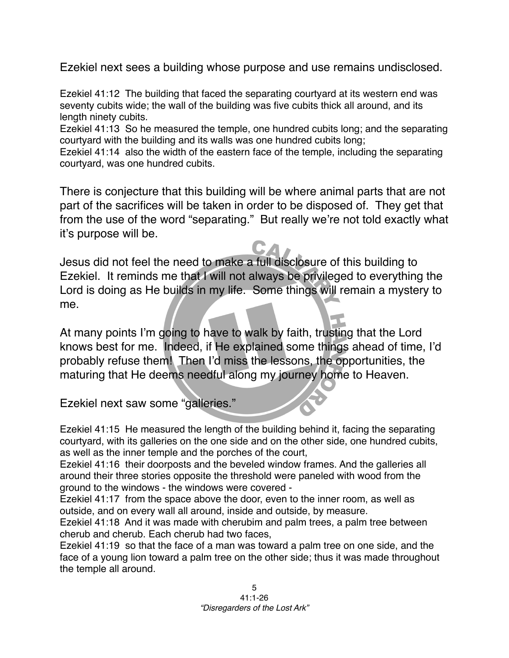Ezekiel next sees a building whose purpose and use remains undisclosed.

Ezekiel 41:12 The building that faced the separating courtyard at its western end was seventy cubits wide; the wall of the building was five cubits thick all around, and its length ninety cubits.

Ezekiel 41:13 So he measured the temple, one hundred cubits long; and the separating courtyard with the building and its walls was one hundred cubits long;

Ezekiel 41:14 also the width of the eastern face of the temple, including the separating courtyard, was one hundred cubits.

There is conjecture that this building will be where animal parts that are not part of the sacrifices will be taken in order to be disposed of. They get that from the use of the word "separating." But really we're not told exactly what it's purpose will be.

Jesus did not feel the need to make a full disclosure of this building to Ezekiel. It reminds me that I will not always be privileged to everything the Lord is doing as He builds in my life. Some things will remain a mystery to me.

At many points I'm going to have to walk by faith, trusting that the Lord knows best for me. Indeed, if He explained some things ahead of time, I'd probably refuse them! Then I'd miss the lessons, the opportunities, the maturing that He deems needful along my journey home to Heaven.

Ezekiel next saw some "galleries."

Ezekiel 41:15 He measured the length of the building behind it, facing the separating courtyard, with its galleries on the one side and on the other side, one hundred cubits, as well as the inner temple and the porches of the court,

Ezekiel 41:16 their doorposts and the beveled window frames. And the galleries all around their three stories opposite the threshold were paneled with wood from the ground to the windows - the windows were covered -

Ezekiel 41:17 from the space above the door, even to the inner room, as well as outside, and on every wall all around, inside and outside, by measure.

Ezekiel 41:18 And it was made with cherubim and palm trees, a palm tree between cherub and cherub. Each cherub had two faces,

Ezekiel 41:19 so that the face of a man was toward a palm tree on one side, and the face of a young lion toward a palm tree on the other side; thus it was made throughout the temple all around.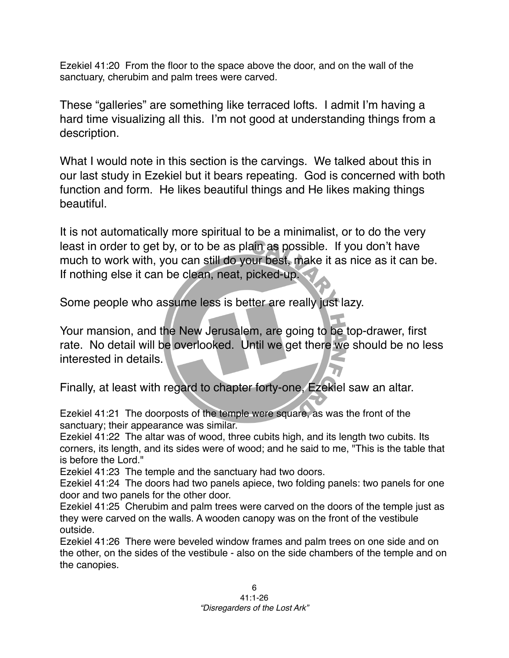Ezekiel 41:20 From the floor to the space above the door, and on the wall of the sanctuary, cherubim and palm trees were carved.

These "galleries" are something like terraced lofts. I admit I'm having a hard time visualizing all this. I'm not good at understanding things from a description.

What I would note in this section is the carvings. We talked about this in our last study in Ezekiel but it bears repeating. God is concerned with both function and form. He likes beautiful things and He likes making things beautiful.

It is not automatically more spiritual to be a minimalist, or to do the very least in order to get by, or to be as plain as possible. If you don't have much to work with, you can still do your best, make it as nice as it can be. If nothing else it can be clean, neat, picked-up.

Some people who assume less is better are really just lazy.

Your mansion, and the New Jerusalem, are going to be top-drawer, first rate. No detail will be overlooked. Until we get there we should be no less interested in details.

Finally, at least with regard to chapter forty-one, Ezekiel saw an altar.

Ezekiel 41:21 The doorposts of the temple were square, as was the front of the sanctuary; their appearance was similar.

Ezekiel 41:22 The altar was of wood, three cubits high, and its length two cubits. Its corners, its length, and its sides were of wood; and he said to me, "This is the table that is before the Lord."

Ezekiel 41:23 The temple and the sanctuary had two doors.

Ezekiel 41:24 The doors had two panels apiece, two folding panels: two panels for one door and two panels for the other door.

Ezekiel 41:25 Cherubim and palm trees were carved on the doors of the temple just as they were carved on the walls. A wooden canopy was on the front of the vestibule outside.

Ezekiel 41:26 There were beveled window frames and palm trees on one side and on the other, on the sides of the vestibule - also on the side chambers of the temple and on the canopies.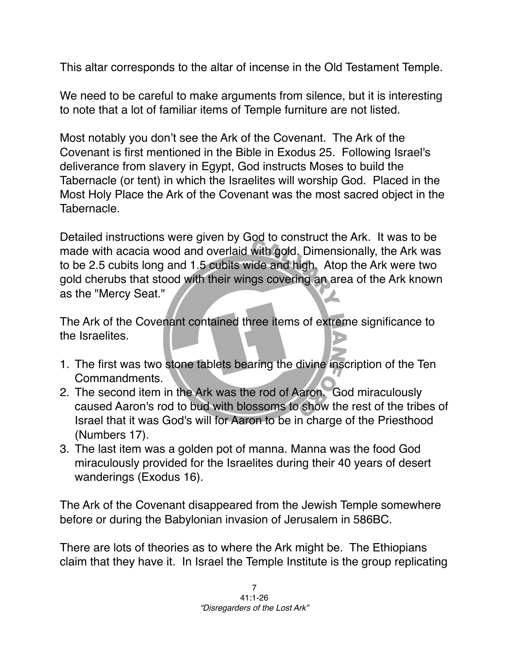This altar corresponds to the altar of incense in the Old Testament Temple.

We need to be careful to make arguments from silence, but it is interesting to note that a lot of familiar items of Temple furniture are not listed.

Most notably you don't see the Ark of the Covenant. The Ark of the Covenant is first mentioned in the Bible in Exodus 25. Following Israel's deliverance from slavery in Egypt, God instructs Moses to build the Tabernacle (or tent) in which the Israelites will worship God. Placed in the Most Holy Place the Ark of the Covenant was the most sacred object in the Tabernacle.

Detailed instructions were given by God to construct the Ark. It was to be made with acacia wood and overlaid with gold. Dimensionally, the Ark was to be 2.5 cubits long and 1.5 cubits wide and high. Atop the Ark were two gold cherubs that stood with their wings covering an area of the Ark known as the "Mercy Seat."

The Ark of the Covenant contained three items of extreme significance to the Israelites.

- 1. The first was two stone tablets bearing the divine inscription of the Ten Commandments.
- 2. The second item in the Ark was the rod of Aaron. God miraculously caused Aaron's rod to bud with blossoms to show the rest of the tribes of Israel that it was God's will for Aaron to be in charge of the Priesthood (Numbers 17).
- 3. The last item was a golden pot of manna. Manna was the food God miraculously provided for the Israelites during their 40 years of desert wanderings (Exodus 16).

The Ark of the Covenant disappeared from the Jewish Temple somewhere before or during the Babylonian invasion of Jerusalem in 586BC.

There are lots of theories as to where the Ark might be. The Ethiopians claim that they have it. In Israel the Temple Institute is the group replicating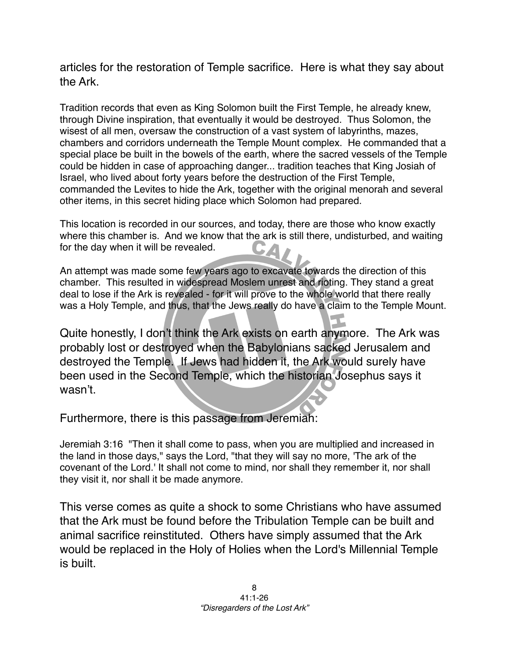articles for the restoration of Temple sacrifice. Here is what they say about the Ark.

Tradition records that even as King Solomon built the First Temple, he already knew, through Divine inspiration, that eventually it would be destroyed. Thus Solomon, the wisest of all men, oversaw the construction of a vast system of labyrinths, mazes, chambers and corridors underneath the Temple Mount complex. He commanded that a special place be built in the bowels of the earth, where the sacred vessels of the Temple could be hidden in case of approaching danger... tradition teaches that King Josiah of Israel, who lived about forty years before the destruction of the First Temple, commanded the Levites to hide the Ark, together with the original menorah and several other items, in this secret hiding place which Solomon had prepared.

This location is recorded in our sources, and today, there are those who know exactly where this chamber is. And we know that the ark is still there, undisturbed, and waiting for the day when it will be revealed.

An attempt was made some few years ago to excavate towards the direction of this chamber. This resulted in widespread Moslem unrest and rioting. They stand a great deal to lose if the Ark is revealed - for it will prove to the whole world that there really was a Holy Temple, and thus, that the Jews really do have a claim to the Temple Mount.

Quite honestly, I don't think the Ark exists on earth anymore. The Ark was probably lost or destroyed when the Babylonians sacked Jerusalem and destroyed the Temple. If Jews had hidden it, the Ark would surely have been used in the Second Temple, which the historian Josephus says it wasn't.

Furthermore, there is this passage from Jeremiah:

Jeremiah 3:16 "Then it shall come to pass, when you are multiplied and increased in the land in those days," says the Lord, "that they will say no more, 'The ark of the covenant of the Lord.' It shall not come to mind, nor shall they remember it, nor shall they visit it, nor shall it be made anymore.

This verse comes as quite a shock to some Christians who have assumed that the Ark must be found before the Tribulation Temple can be built and animal sacrifice reinstituted. Others have simply assumed that the Ark would be replaced in the Holy of Holies when the Lord's Millennial Temple is built.